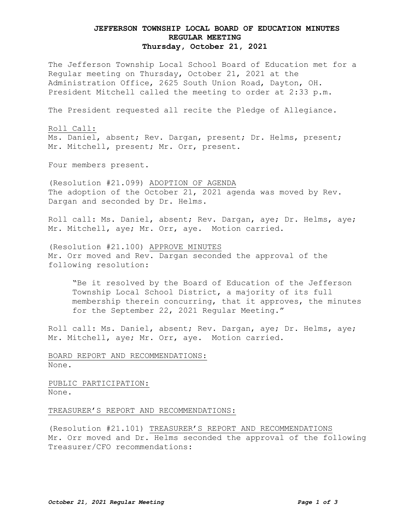# **JEFFERSON TOWNSHIP LOCAL BOARD OF EDUCATION MINUTES REGULAR MEETING Thursday, October 21, 2021**

The Jefferson Township Local School Board of Education met for a Regular meeting on Thursday, October 21, 2021 at the Administration Office, 2625 South Union Road, Dayton, OH. President Mitchell called the meeting to order at 2:33 p.m.

The President requested all recite the Pledge of Allegiance.

Roll Call: Ms. Daniel, absent; Rev. Dargan, present; Dr. Helms, present; Mr. Mitchell, present; Mr. Orr, present.

Four members present.

(Resolution #21.099) ADOPTION OF AGENDA The adoption of the October 21, 2021 agenda was moved by Rev. Dargan and seconded by Dr. Helms.

Roll call: Ms. Daniel, absent; Rev. Dargan, aye; Dr. Helms, aye; Mr. Mitchell, aye; Mr. Orr, aye. Motion carried.

(Resolution #21.100) APPROVE MINUTES Mr. Orr moved and Rev. Dargan seconded the approval of the following resolution:

"Be it resolved by the Board of Education of the Jefferson Township Local School District, a majority of its full membership therein concurring, that it approves, the minutes for the September 22, 2021 Regular Meeting."

Roll call: Ms. Daniel, absent; Rev. Dargan, aye; Dr. Helms, aye; Mr. Mitchell, aye; Mr. Orr, aye. Motion carried.

BOARD REPORT AND RECOMMENDATIONS: None.

PUBLIC PARTICIPATION: None.

TREASURER'S REPORT AND RECOMMENDATIONS:

(Resolution #21.101) TREASURER'S REPORT AND RECOMMENDATIONS Mr. Orr moved and Dr. Helms seconded the approval of the following Treasurer/CFO recommendations: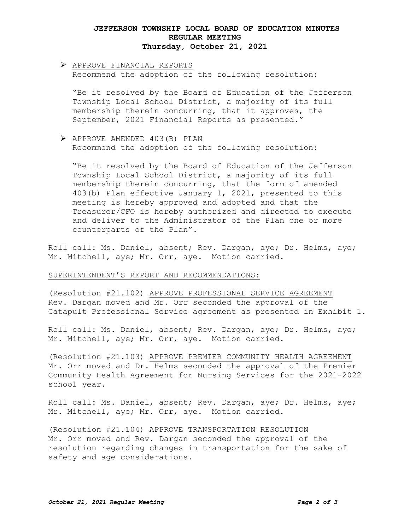# **JEFFERSON TOWNSHIP LOCAL BOARD OF EDUCATION MINUTES REGULAR MEETING Thursday, October 21, 2021**

# APPROVE FINANCIAL REPORTS

Recommend the adoption of the following resolution:

"Be it resolved by the Board of Education of the Jefferson Township Local School District, a majority of its full membership therein concurring, that it approves, the September, 2021 Financial Reports as presented."

### APPROVE AMENDED 403(B) PLAN

Recommend the adoption of the following resolution:

"Be it resolved by the Board of Education of the Jefferson Township Local School District, a majority of its full membership therein concurring, that the form of amended 403(b) Plan effective January 1, 2021, presented to this meeting is hereby approved and adopted and that the Treasurer/CFO is hereby authorized and directed to execute and deliver to the Administrator of the Plan one or more counterparts of the Plan".

Roll call: Ms. Daniel, absent; Rev. Dargan, aye; Dr. Helms, aye; Mr. Mitchell, aye; Mr. Orr, aye. Motion carried.

#### SUPERINTENDENT'S REPORT AND RECOMMENDATIONS:

(Resolution #21.102) APPROVE PROFESSIONAL SERVICE AGREEMENT Rev. Dargan moved and Mr. Orr seconded the approval of the Catapult Professional Service agreement as presented in Exhibit 1.

Roll call: Ms. Daniel, absent; Rev. Dargan, aye; Dr. Helms, aye; Mr. Mitchell, aye; Mr. Orr, aye. Motion carried.

(Resolution #21.103) APPROVE PREMIER COMMUNITY HEALTH AGREEMENT Mr. Orr moved and Dr. Helms seconded the approval of the Premier Community Health Agreement for Nursing Services for the 2021-2022 school year.

Roll call: Ms. Daniel, absent; Rev. Dargan, aye; Dr. Helms, aye; Mr. Mitchell, aye; Mr. Orr, aye. Motion carried.

(Resolution #21.104) APPROVE TRANSPORTATION RESOLUTION Mr. Orr moved and Rev. Dargan seconded the approval of the resolution regarding changes in transportation for the sake of safety and age considerations.